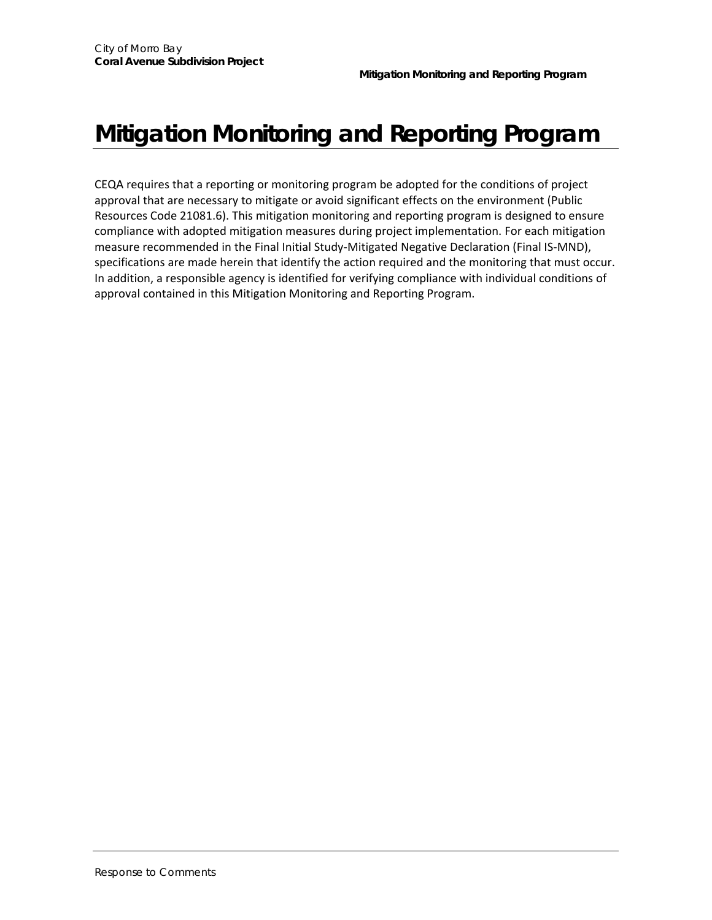## **Mitigation Monitoring and Reporting Program**

CEQA requires that a reporting or monitoring program be adopted for the conditions of project approval that are necessary to mitigate or avoid significant effects on the environment (Public Resources Code 21081.6). This mitigation monitoring and reporting program is designed to ensure compliance with adopted mitigation measures during project implementation. For each mitigation measure recommended in the Final Initial Study‐Mitigated Negative Declaration (Final IS‐MND), specifications are made herein that identify the action required and the monitoring that must occur. In addition, a responsible agency is identified for verifying compliance with individual conditions of approval contained in this Mitigation Monitoring and Reporting Program.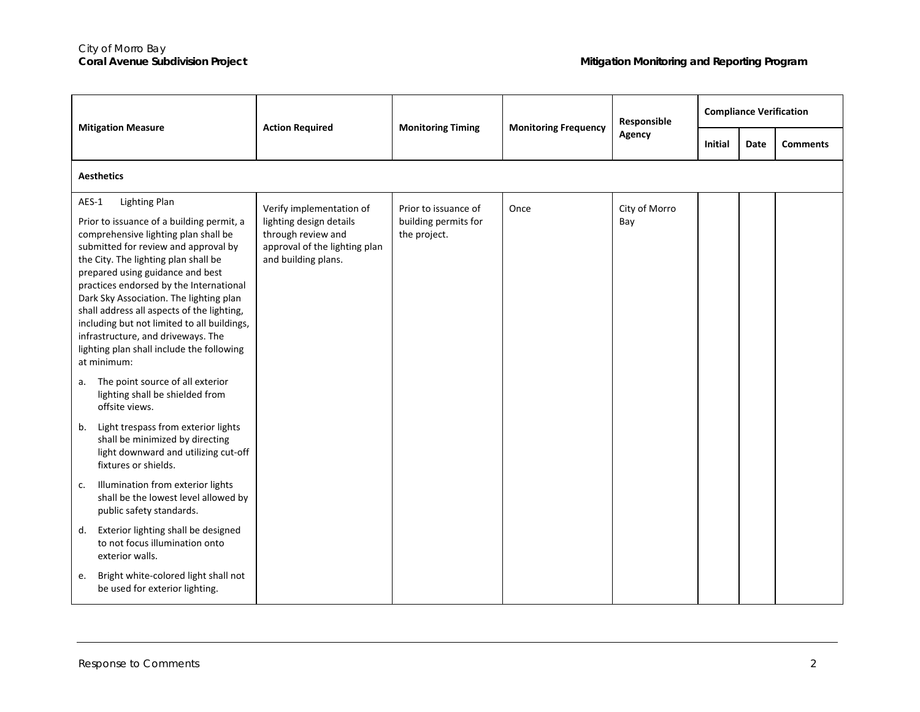| <b>Mitigation Measure</b>                                                                                                                                                                                                                                                                                                                                                                                                                                                                                                   | <b>Action Required</b>                                                                                                            | <b>Monitoring Timing</b>                                     | <b>Monitoring Frequency</b> | Responsible<br>Agency | <b>Compliance Verification</b> |             |                 |  |  |
|-----------------------------------------------------------------------------------------------------------------------------------------------------------------------------------------------------------------------------------------------------------------------------------------------------------------------------------------------------------------------------------------------------------------------------------------------------------------------------------------------------------------------------|-----------------------------------------------------------------------------------------------------------------------------------|--------------------------------------------------------------|-----------------------------|-----------------------|--------------------------------|-------------|-----------------|--|--|
|                                                                                                                                                                                                                                                                                                                                                                                                                                                                                                                             |                                                                                                                                   |                                                              |                             |                       | <b>Initial</b>                 | <b>Date</b> | <b>Comments</b> |  |  |
| <b>Aesthetics</b>                                                                                                                                                                                                                                                                                                                                                                                                                                                                                                           |                                                                                                                                   |                                                              |                             |                       |                                |             |                 |  |  |
| <b>Lighting Plan</b><br>AES-1<br>Prior to issuance of a building permit, a<br>comprehensive lighting plan shall be<br>submitted for review and approval by<br>the City. The lighting plan shall be<br>prepared using guidance and best<br>practices endorsed by the International<br>Dark Sky Association. The lighting plan<br>shall address all aspects of the lighting,<br>including but not limited to all buildings,<br>infrastructure, and driveways. The<br>lighting plan shall include the following<br>at minimum: | Verify implementation of<br>lighting design details<br>through review and<br>approval of the lighting plan<br>and building plans. | Prior to issuance of<br>building permits for<br>the project. | Once                        | City of Morro<br>Bay  |                                |             |                 |  |  |
| The point source of all exterior<br>а.<br>lighting shall be shielded from<br>offsite views.                                                                                                                                                                                                                                                                                                                                                                                                                                 |                                                                                                                                   |                                                              |                             |                       |                                |             |                 |  |  |
| Light trespass from exterior lights<br>b.<br>shall be minimized by directing<br>light downward and utilizing cut-off<br>fixtures or shields.                                                                                                                                                                                                                                                                                                                                                                                |                                                                                                                                   |                                                              |                             |                       |                                |             |                 |  |  |
| Illumination from exterior lights<br>c.<br>shall be the lowest level allowed by<br>public safety standards.                                                                                                                                                                                                                                                                                                                                                                                                                 |                                                                                                                                   |                                                              |                             |                       |                                |             |                 |  |  |
| Exterior lighting shall be designed<br>d.<br>to not focus illumination onto<br>exterior walls.                                                                                                                                                                                                                                                                                                                                                                                                                              |                                                                                                                                   |                                                              |                             |                       |                                |             |                 |  |  |
| Bright white-colored light shall not<br>e.<br>be used for exterior lighting.                                                                                                                                                                                                                                                                                                                                                                                                                                                |                                                                                                                                   |                                                              |                             |                       |                                |             |                 |  |  |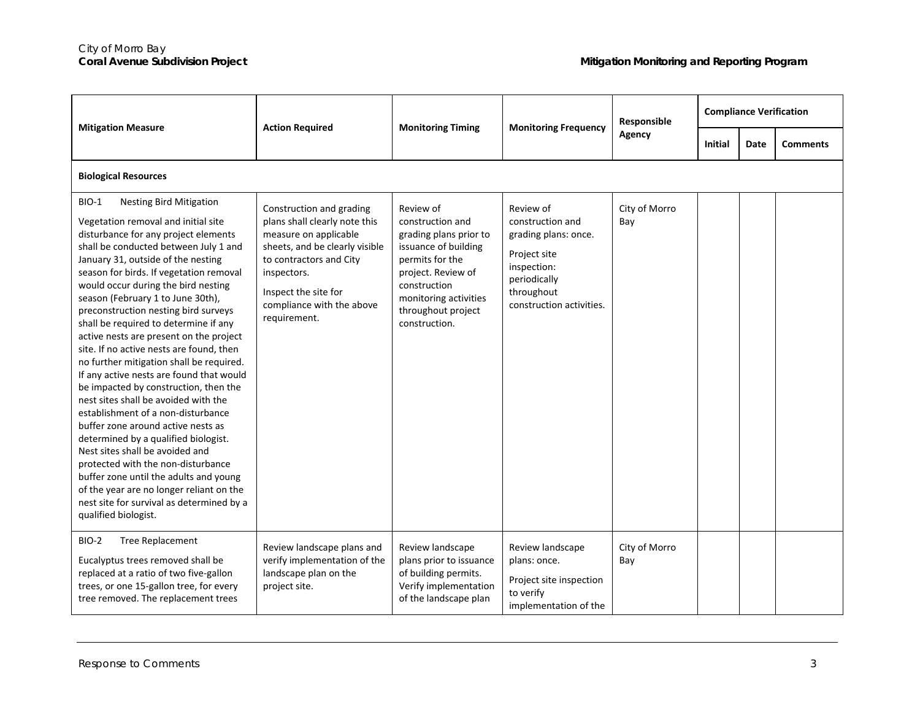| <b>Mitigation Measure</b>                                                                                                                                                                                                                                                                                                                                                                                                                                                                                                                                                                                                                                                                                                                                                                                                                                                                                                                                                                                                                    | <b>Action Required</b>                                                                                                                                                                                                              | <b>Monitoring Timing</b>                                                                                                                                                                                 | <b>Monitoring Frequency</b>                                                                                                                    | Responsible<br>Agency | <b>Compliance Verification</b> |             |                 |  |  |
|----------------------------------------------------------------------------------------------------------------------------------------------------------------------------------------------------------------------------------------------------------------------------------------------------------------------------------------------------------------------------------------------------------------------------------------------------------------------------------------------------------------------------------------------------------------------------------------------------------------------------------------------------------------------------------------------------------------------------------------------------------------------------------------------------------------------------------------------------------------------------------------------------------------------------------------------------------------------------------------------------------------------------------------------|-------------------------------------------------------------------------------------------------------------------------------------------------------------------------------------------------------------------------------------|----------------------------------------------------------------------------------------------------------------------------------------------------------------------------------------------------------|------------------------------------------------------------------------------------------------------------------------------------------------|-----------------------|--------------------------------|-------------|-----------------|--|--|
|                                                                                                                                                                                                                                                                                                                                                                                                                                                                                                                                                                                                                                                                                                                                                                                                                                                                                                                                                                                                                                              |                                                                                                                                                                                                                                     |                                                                                                                                                                                                          |                                                                                                                                                |                       | <b>Initial</b>                 | <b>Date</b> | <b>Comments</b> |  |  |
| <b>Biological Resources</b>                                                                                                                                                                                                                                                                                                                                                                                                                                                                                                                                                                                                                                                                                                                                                                                                                                                                                                                                                                                                                  |                                                                                                                                                                                                                                     |                                                                                                                                                                                                          |                                                                                                                                                |                       |                                |             |                 |  |  |
| <b>Nesting Bird Mitigation</b><br><b>BIO-1</b><br>Vegetation removal and initial site<br>disturbance for any project elements<br>shall be conducted between July 1 and<br>January 31, outside of the nesting<br>season for birds. If vegetation removal<br>would occur during the bird nesting<br>season (February 1 to June 30th),<br>preconstruction nesting bird surveys<br>shall be required to determine if any<br>active nests are present on the project<br>site. If no active nests are found, then<br>no further mitigation shall be required.<br>If any active nests are found that would<br>be impacted by construction, then the<br>nest sites shall be avoided with the<br>establishment of a non-disturbance<br>buffer zone around active nests as<br>determined by a qualified biologist.<br>Nest sites shall be avoided and<br>protected with the non-disturbance<br>buffer zone until the adults and young<br>of the year are no longer reliant on the<br>nest site for survival as determined by a<br>qualified biologist. | Construction and grading<br>plans shall clearly note this<br>measure on applicable<br>sheets, and be clearly visible<br>to contractors and City<br>inspectors.<br>Inspect the site for<br>compliance with the above<br>requirement. | Review of<br>construction and<br>grading plans prior to<br>issuance of building<br>permits for the<br>project. Review of<br>construction<br>monitoring activities<br>throughout project<br>construction. | Review of<br>construction and<br>grading plans: once.<br>Project site<br>inspection:<br>periodically<br>throughout<br>construction activities. | City of Morro<br>Bay  |                                |             |                 |  |  |
| BIO-2<br><b>Tree Replacement</b><br>Eucalyptus trees removed shall be<br>replaced at a ratio of two five-gallon<br>trees, or one 15-gallon tree, for every<br>tree removed. The replacement trees                                                                                                                                                                                                                                                                                                                                                                                                                                                                                                                                                                                                                                                                                                                                                                                                                                            | Review landscape plans and<br>verify implementation of the<br>landscape plan on the<br>project site.                                                                                                                                | Review landscape<br>plans prior to issuance<br>of building permits.<br>Verify implementation<br>of the landscape plan                                                                                    | Review landscape<br>plans: once.<br>Project site inspection<br>to verify<br>implementation of the                                              | City of Morro<br>Bay  |                                |             |                 |  |  |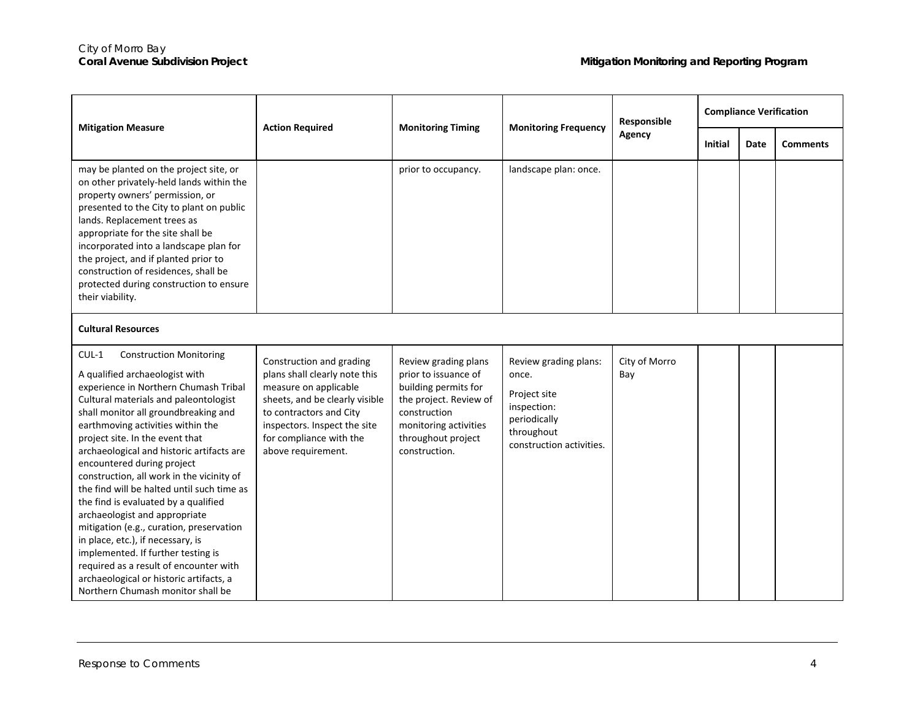| <b>Mitigation Measure</b>                                                                                                                                                                                                                                                                                                                                                                                                                                                                                                                                                                                                                                                                                                                                                     | <b>Action Required</b>                                                                                                                                                                                                           | <b>Monitoring Timing</b>                                                                                                                                                       | <b>Monitoring Frequency</b>                                                                                             | Responsible<br>Agency | <b>Compliance Verification</b> |      |                 |  |
|-------------------------------------------------------------------------------------------------------------------------------------------------------------------------------------------------------------------------------------------------------------------------------------------------------------------------------------------------------------------------------------------------------------------------------------------------------------------------------------------------------------------------------------------------------------------------------------------------------------------------------------------------------------------------------------------------------------------------------------------------------------------------------|----------------------------------------------------------------------------------------------------------------------------------------------------------------------------------------------------------------------------------|--------------------------------------------------------------------------------------------------------------------------------------------------------------------------------|-------------------------------------------------------------------------------------------------------------------------|-----------------------|--------------------------------|------|-----------------|--|
|                                                                                                                                                                                                                                                                                                                                                                                                                                                                                                                                                                                                                                                                                                                                                                               |                                                                                                                                                                                                                                  |                                                                                                                                                                                |                                                                                                                         |                       | <b>Initial</b>                 | Date | <b>Comments</b> |  |
| may be planted on the project site, or<br>on other privately-held lands within the<br>property owners' permission, or<br>presented to the City to plant on public<br>lands. Replacement trees as<br>appropriate for the site shall be<br>incorporated into a landscape plan for<br>the project, and if planted prior to<br>construction of residences, shall be<br>protected during construction to ensure<br>their viability.                                                                                                                                                                                                                                                                                                                                                |                                                                                                                                                                                                                                  | prior to occupancy.                                                                                                                                                            | landscape plan: once.                                                                                                   |                       |                                |      |                 |  |
| <b>Cultural Resources</b>                                                                                                                                                                                                                                                                                                                                                                                                                                                                                                                                                                                                                                                                                                                                                     |                                                                                                                                                                                                                                  |                                                                                                                                                                                |                                                                                                                         |                       |                                |      |                 |  |
| $CUL-1$<br><b>Construction Monitoring</b><br>A qualified archaeologist with<br>experience in Northern Chumash Tribal<br>Cultural materials and paleontologist<br>shall monitor all groundbreaking and<br>earthmoving activities within the<br>project site. In the event that<br>archaeological and historic artifacts are<br>encountered during project<br>construction, all work in the vicinity of<br>the find will be halted until such time as<br>the find is evaluated by a qualified<br>archaeologist and appropriate<br>mitigation (e.g., curation, preservation<br>in place, etc.), if necessary, is<br>implemented. If further testing is<br>required as a result of encounter with<br>archaeological or historic artifacts, a<br>Northern Chumash monitor shall be | Construction and grading<br>plans shall clearly note this<br>measure on applicable<br>sheets, and be clearly visible<br>to contractors and City<br>inspectors. Inspect the site<br>for compliance with the<br>above requirement. | Review grading plans<br>prior to issuance of<br>building permits for<br>the project. Review of<br>construction<br>monitoring activities<br>throughout project<br>construction. | Review grading plans:<br>once.<br>Project site<br>inspection:<br>periodically<br>throughout<br>construction activities. | City of Morro<br>Bay  |                                |      |                 |  |